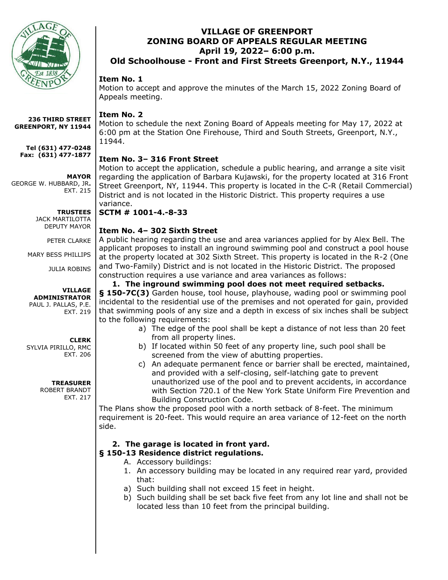

**236 THIRD STREET GREENPORT, NY 11944**

**Tel (631) 477-0248 Fax: (631) 477-1877**

**MAYOR**

GEORGE W. HUBBARD, JR**.** EXT. 215

> **TRUSTEES** JACK MARTILOTTA

> DEPUTY MAYOR

PETER CLARKE

MARY BESS PHILLIPS

JULIA ROBINS

#### **VILLAGE ADMINISTRATOR**

PAUL J. PALLAS, P.E. EXT. 219

## **CLERK**

SYLVIA PIRILLO, RMC EXT. 206

**TREASURER**

ROBERT BRANDT EXT. 217

# **VILLAGE OF GREENPORT ZONING BOARD OF APPEALS REGULAR MEETING April 19, 2022– 6:00 p.m.**

**Old Schoolhouse - Front and First Streets Greenport, N.Y., 11944**

# **Item No. 1**

Motion to accept and approve the minutes of the March 15, 2022 Zoning Board of Appeals meeting.

## **Item No. 2**

Motion to schedule the next Zoning Board of Appeals meeting for May 17, 2022 at 6:00 pm at the Station One Firehouse, Third and South Streets, Greenport, N.Y., 11944.

# **Item No. 3– 316 Front Street**

Motion to accept the application, schedule a public hearing, and arrange a site visit regarding the application of Barbara Kujawski, for the property located at 316 Front Street Greenport, NY, 11944. This property is located in the C-R (Retail Commercial) District and is not located in the Historic District. This property requires a use variance.

**SCTM # 1001-4.-8-33**

# **Item No. 4– 302 Sixth Street**

A public hearing regarding the use and area variances applied for by Alex Bell. The applicant proposes to install an inground swimming pool and construct a pool house at the property located at 302 Sixth Street. This property is located in the R-2 (One and Two-Family) District and is not located in the Historic District. The proposed construction requires a use variance and area variances as follows:

## **1. The inground swimming pool does not meet required setbacks.**

**§ 150-7[C\(3\)](https://ecode360.com/10977517#10977517)** Garden house, tool house, playhouse, wading pool or swimming pool incidental to the residential use of the premises and not operated for gain, provided that swimming pools of any size and a depth in excess of six inches shall be subject to the following requirements:

- a) The edge of the pool shall be kept a distance of not less than 20 feet from all property lines.
- b) If located within 50 feet of any property line, such pool shall be screened from the view of abutting properties.
- c) An adequate permanent fence or barrier shall be erected, maintained, and provided with a self-closing, self-latching gate to prevent unauthorized use of the pool and to prevent accidents, in accordance with Section 720.1 of the New York State Uniform Fire Prevention and Building Construction Code.

The Plans show the proposed pool with a north setback of 8-feet. The minimum requirement is 20-feet. This would require an area variance of 12-feet on the north side.

# **2. The garage is located in front yard.**

## **§ [150-13 Residence district regulations.](https://ecode360.com/10977697?highlight=&searchId=8202438514993903#10977697)**

- A. Accessory buildings:
- 1. An accessory building may be located in any required rear yard, provided that:
- a) Such building shall not exceed 15 feet in height.
- b) Such building shall be set back five feet from any lot line and shall not be located less than 10 feet from the principal building.